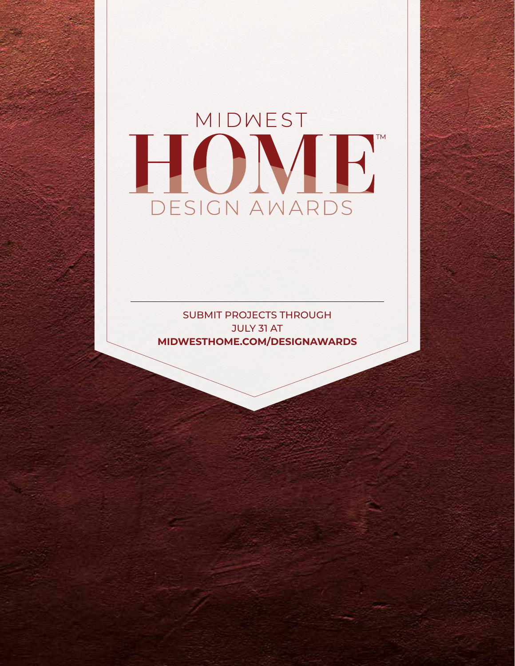# MIDWEST **TM** HOME DESIGN AWARDS

SUBMIT PROJECTS THROUGH JULY 31 AT **MIDWESTHOME.COM/DESIGNAWARDS**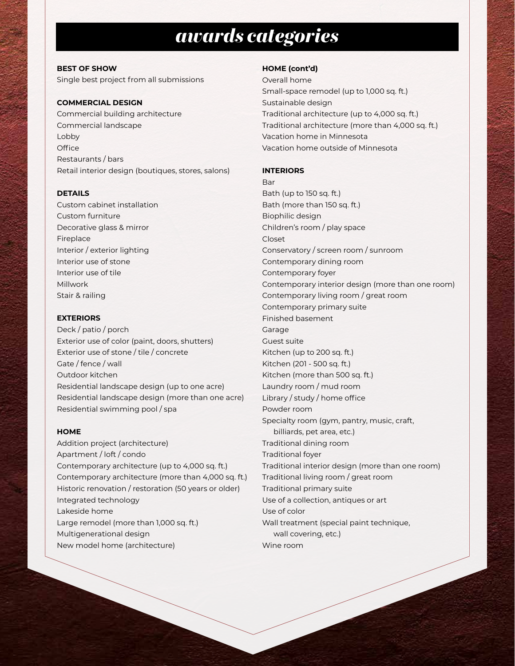## *awards categories*

#### **BEST OF SHOW**

Single best project from all submissions

#### **COMMERCIAL DESIGN**

Commercial building architecture Commercial landscape Lobby **Office** Restaurants / bars Retail interior design (boutiques, stores, salons)

#### **DETAILS**

Custom cabinet installation Custom furniture Decorative glass & mirror Fireplace Interior / exterior lighting Interior use of stone Interior use of tile Millwork Stair & railing

#### **EXTERIORS**

Deck / patio / porch Exterior use of color (paint, doors, shutters) Exterior use of stone / tile / concrete Gate / fence / wall Outdoor kitchen Residential landscape design (up to one acre) Residential landscape design (more than one acre) Residential swimming pool / spa

#### **HOME**

Addition project (architecture) Apartment / loft / condo Contemporary architecture (up to 4,000 sq. ft.) Contemporary architecture (more than 4,000 sq. ft.) Historic renovation / restoration (50 years or older) Integrated technology Lakeside home Large remodel (more than 1,000 sq. ft.) Multigenerational design New model home (architecture)

#### **HOME (cont'd)**

Overall home Small-space remodel (up to 1,000 sq. ft.) Sustainable design Traditional architecture (up to 4,000 sq. ft.) Traditional architecture (more than 4,000 sq. ft.) Vacation home in Minnesota Vacation home outside of Minnesota

#### **INTERIORS**

Bar Bath (up to 150 sq. ft.) Bath (more than 150 sq. ft.) Biophilic design Children's room / play space Closet Conservatory / screen room / sunroom Contemporary dining room Contemporary foyer Contemporary interior design (more than one room) Contemporary living room / great room Contemporary primary suite Finished basement Garage Guest suite Kitchen (up to 200 sq. ft.) Kitchen (201 - 500 sq. ft.) Kitchen (more than 500 sq. ft.) Laundry room / mud room Library / study / home office Powder room Specialty room (gym, pantry, music, craft, billiards, pet area, etc.) Traditional dining room Traditional foyer Traditional interior design (more than one room) Traditional living room / great room Traditional primary suite Use of a collection, antiques or art Use of color Wall treatment (special paint technique, wall covering, etc.) Wine room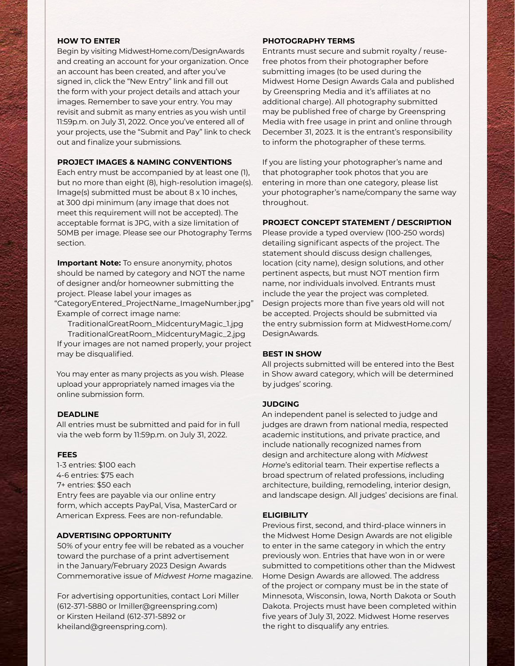#### **HOW TO ENTER**

Begin by visiting MidwestHome.com/DesignAwards and creating an account for your organization. Once an account has been created, and after you've signed in, click the "New Entry" link and fill out the form with your project details and attach your images. Remember to save your entry. You may revisit and submit as many entries as you wish until 11:59p.m. on July 31, 2022. Once you've entered all of your projects, use the "Submit and Pay" link to check out and finalize your submissions.

#### **PROJECT IMAGES & NAMING CONVENTIONS**

Each entry must be accompanied by at least one (1), but no more than eight (8), high-resolution image(s). Image(s) submitted must be about 8 x 10 inches, at 300 dpi minimum (any image that does not meet this requirement will not be accepted). The acceptable format is JPG, with a size limitation of 50MB per image. Please see our Photography Terms section.

**Important Note:** To ensure anonymity, photos should be named by category and NOT the name of designer and/or homeowner submitting the project. Please label your images as "CategoryEntered\_ProjectName\_ImageNumber.jpg" Example of correct image name:

TraditionalGreatRoom\_MidcenturyMagic\_1.jpg

TraditionalGreatRoom\_MidcenturyMagic\_2.jpg If your images are not named properly, your project may be disqualified.

You may enter as many projects as you wish. Please upload your appropriately named images via the online submission form.

#### **DEADLINE**

All entries must be submitted and paid for in full via the web form by 11:59p.m. on July 31, 2022.

#### **FEES**

1-3 entries: \$100 each 4-6 entries: \$75 each 7+ entries: \$50 each Entry fees are payable via our online entry form, which accepts PayPal, Visa, MasterCard or American Express. Fees are non-refundable.

#### **ADVERTISING OPPORTUNITY**

50% of your entry fee will be rebated as a voucher toward the purchase of a print advertisement in the January/February 2023 Design Awards Commemorative issue of *Midwest Home* magazine.

For advertising opportunities, contact Lori Miller (612-371-5880 or lmiller@greenspring.com) or Kirsten Heiland (612-371-5892 or kheiland@greenspring.com).

#### **PHOTOGRAPHY TERMS**

Entrants must secure and submit royalty / reusefree photos from their photographer before submitting images (to be used during the Midwest Home Design Awards Gala and published by Greenspring Media and it's affiliates at no additional charge). All photography submitted may be published free of charge by Greenspring Media with free usage in print and online through December 31, 2023. It is the entrant's responsibility to inform the photographer of these terms.

If you are listing your photographer's name and that photographer took photos that you are entering in more than one category, please list your photographer's name/company the same way throughout.

#### **PROJECT CONCEPT STATEMENT / DESCRIPTION**

Please provide a typed overview (100-250 words) detailing significant aspects of the project. The statement should discuss design challenges, location (city name), design solutions, and other pertinent aspects, but must NOT mention firm name, nor individuals involved. Entrants must include the year the project was completed. Design projects more than five years old will not be accepted. Projects should be submitted via the entry submission form at MidwestHome.com/ DesignAwards.

#### **BEST IN SHOW**

All projects submitted will be entered into the Best in Show award category, which will be determined by judges' scoring.

#### **JUDGING**

An independent panel is selected to judge and judges are drawn from national media, respected academic institutions, and private practice, and include nationally recognized names from design and architecture along with *Midwest Home*'s editorial team. Their expertise reflects a broad spectrum of related professions, including architecture, building, remodeling, interior design, and landscape design. All judges' decisions are final.

#### **ELIGIBILITY**

Previous first, second, and third-place winners in the Midwest Home Design Awards are not eligible to enter in the same category in which the entry previously won. Entries that have won in or were submitted to competitions other than the Midwest Home Design Awards are allowed. The address of the project or company must be in the state of Minnesota, Wisconsin, Iowa, North Dakota or South Dakota. Projects must have been completed within five years of July 31, 2022. Midwest Home reserves the right to disqualify any entries.